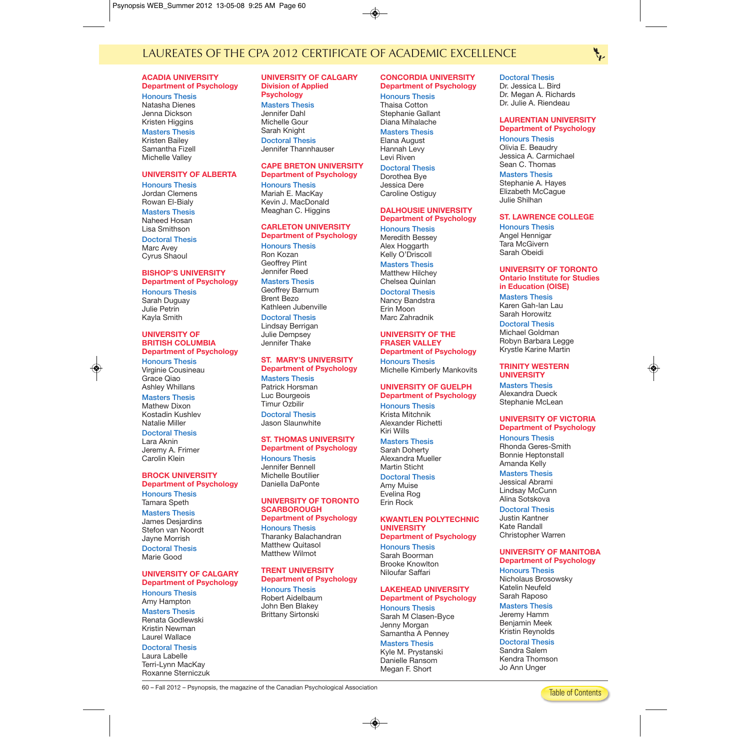# LAUREATES OF THE CPA 2012 CERTIFICATE OF ACADEMIC EXCELLENCE

#### **ACADIA UNIVERSITY Department of Psychology**

**Honours Thesis** Natasha Dienes Jenna Dickson Kristen Higgins

**Masters Thesis** Kristen Bailey Samantha Fizell Michelle Valley

#### **UNIVERSITY OF ALBERTA**

**Honours Thesis** Jordan Clemens Rowan El-Bialy

**Masters Thesis** Naheed Hosan Lisa Smithson

**Doctoral Thesis** Marc Avey Cyrus Shaoul

#### **BISHOP'S UNIVERSITY Department of Psychology**

**Honours Thesis** Sarah Duguay Julie Petrin Kayla Smith

#### **UNIVERSITY OF BRITISH COLUMBIA Department of Psychology**

**Honours Thesis** Virginie Cousineau Grace Qiao Ashley Whillans

**Masters Thesis** Mathew Dixon Kostadin Kushlev Natalie Miller

#### **Doctoral Thesis**

Lara Aknin Jeremy A. Frimer Carolin Klein

# **BROCK UNIVERSITY**

**Department of Psychology Honours Thesis**

Tamara Speth **Masters Thesis**

James Desjardins Stefon van Noordt Jayne Morrish **Doctoral Thesis**

Marie Good

# **UNIVERSITY OF CALGARY Department of Psychology Honours Thesis**

Amy Hampton **Masters Thesis** Renata Godlewski Kristin Newman

## Laurel Wallace **Doctoral Thesis**

Laura Labelle Terri-Lynn MacKay Roxanne Sterniczuk

#### **UNIVERSITY OF CALGARY Division of Applied Psychology**

**Masters Thesis** Jennifer Dahl Michelle Gour Sarah Knight **Doctoral Thesis** Jennifer Thannhauser

# **CAPE BRETON UNIVERSITY**

**Department of Psychology Honours Thesis** Mariah E. MacKay Kevin J. MacDonald Meaghan C. Higgins

# **CARLETON UNIVERSITY**

**Department of Psychology Honours Thesis** Ron Kozan Geoffrey Plint Jennifer Reed

# **Masters Thesis**

Geoffrey Barnum Brent Bezo Kathleen Jubenville

## **Doctoral Thesis**

Lindsay Berrigan Julie Dempsey Jennifer Thake

# **ST. MARY'S UNIVERSITY Department of Psychology**

**Masters Thesis** Patrick Horsman Luc Bourgeois Timur Ozbilir **Doctoral Thesis**

Jason Slaunwhite

#### **ST. THOMAS UNIVERSITY Department of Psychology**

**Honours Thesis** Jennifer Bennell Michelle Boutilier Daniella DaPonte

#### **UNIVERSITY OF TORONTO SCARBOROUGH Department of Psychology**

**Honours Thesis** Tharanky Balachandran Matthew Quitasol Matthew Wilmot

# **TRENT UNIVERSITY**

**Department of Psychology Honours Thesis** Robert Aidelbaum John Ben Blakey Brittany Sirtonski

## **CONCORDIA UNIVERSITY Department of Psychology**

**Honours Thesis** Thaisa Cotton Stephanie Gallant Diana Mihalache

**Masters Thesis** Elana August

Hannah Levy Levi Riven

#### **Doctoral Thesis** Dorothea Bye

Jessica Dere Caroline Ostiguy

#### **DALHOUSIE UNIVERSITY Department of Psychology**

**Honours Thesis** Meredith Bessey Alex Hoggarth Kelly O'Driscoll

**Masters Thesis**

Matthew Hilchey Chelsea Quinlan

**Doctoral Thesis** Nancy Bandstra Erin Moon

# Marc Zahradnik **UNIVERSITY OF THE**

**FRASER VALLEY Department of Psychology Honours Thesis** Michelle Kimberly Mankovits

# **UNIVERSITY OF GUELPH Department of Psychology Honours Thesis**

Krista Mitchnik Alexander Richetti Kiri Wills

# **Masters Thesis**

Sarah Doherty Alexandra Mueller Martin Sticht

### **Doctoral Thesis**

Amy Muise Evelina Rog Erin Rock

#### **KWANTLEN POLYTECHNIC UNIVERSITY Department of Psychology**

# **Honours Thesis**

Sarah Boorman Brooke Knowlton Niloufar Saffari

### **LAKEHEAD UNIVERSITY Department of Psychology Honours Thesis**

Sarah M Clasen-Byce Jenny Morgan Samantha A Penney

**Masters Thesis** Kyle M. Prystanski Danielle Ransom Megan F. Short

**Doctoral Thesis** Dr. Jessica L. Bird Dr. Megan A. Richards Dr. Julie A. Riendeau

# **LAURENTIAN UNIVERSITY**

**Department of Psychology Honours Thesis** Olivia E. Beaudry Jessica A. Carmichael Sean C. Thomas

#### **Masters Thesis**

Stephanie A. Hayes Elizabeth McCague Julie Shilhan

### **ST. LAWRENCE COLLEGE**

**Honours Thesis** Angel Hennigar Tara McGivern Sarah Obeidi

#### **UNIVERSITY OF TORONTO Ontario Institute for Studies in Education (OISE)**

**Masters Thesis** Karen Gah-lan Lau Sarah Horowitz

**Doctoral Thesis** Michael Goldman Robyn Barbara Legge Krystle Karine Martin

#### **TRINITY WESTERN UNIVERSITY**

**Masters Thesis** Alexandra Dueck Stephanie McLean

# **UNIVERSITY OF VICTORIA**

**Department of Psychology Honours Thesis** Rhonda Geres-Smith Bonnie Heptonstall Amanda Kelly

**Masters Thesis** Jessical Abrami Lindsay McCunn Alina Sotskova

**Doctoral Thesis** Justin Kantner Kate Randall Christopher Warren

#### **UNIVERSITY OF MANITOBA Department of Psychology**

**Honours Thesis** Nicholaus Brosowsky Katelin Neufeld Sarah Raposo

# **Masters Thesis**

Jeremy Hamm Benjamin Meek Kristin Reynolds

**Doctoral Thesis**

Sandra Salem Kendra Thomson Jo Ann Unger